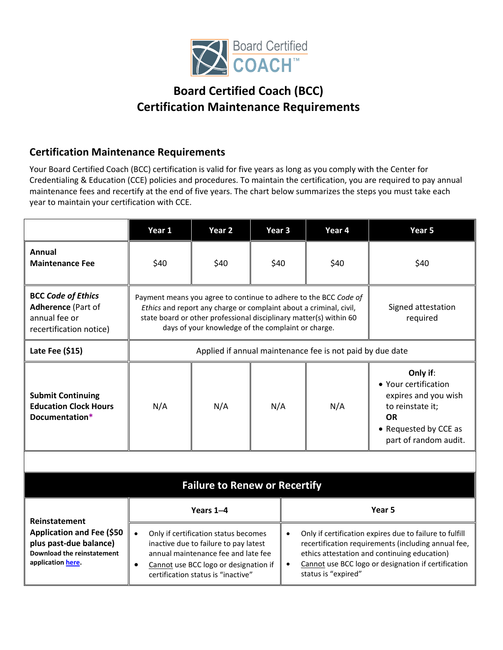

## **Board Certified Coach (BCC) Certification Maintenance Requirements**

## **Certification Maintenance Requirements**

Your Board Certified Coach (BCC) certification is valid for five years as long as you comply with the Center for Credentialing & Education (CCE) policies and procedures. To maintain the certification, you are required to pay annual maintenance fees and recertify at the end of five years. The chart below summarizes the steps you must take each year to maintain your certification with CCE.

|                                                                                                                      | Year 1                                                                                                                                                                                                                                                             | Year 2 | Year 3 |                                                                                                                                                                                                                                                                        | Year 4 | Year 5                                                                                                                                      |
|----------------------------------------------------------------------------------------------------------------------|--------------------------------------------------------------------------------------------------------------------------------------------------------------------------------------------------------------------------------------------------------------------|--------|--------|------------------------------------------------------------------------------------------------------------------------------------------------------------------------------------------------------------------------------------------------------------------------|--------|---------------------------------------------------------------------------------------------------------------------------------------------|
| <b>Annual</b><br><b>Maintenance Fee</b>                                                                              | \$40                                                                                                                                                                                                                                                               | \$40   | \$40   |                                                                                                                                                                                                                                                                        | \$40   | \$40                                                                                                                                        |
| <b>BCC Code of Ethics</b><br><b>Adherence (Part of</b><br>annual fee or<br>recertification notice)                   | Payment means you agree to continue to adhere to the BCC Code of<br>Ethics and report any charge or complaint about a criminal, civil,<br>state board or other professional disciplinary matter(s) within 60<br>days of your knowledge of the complaint or charge. |        |        |                                                                                                                                                                                                                                                                        |        | Signed attestation<br>required                                                                                                              |
| Late Fee (\$15)                                                                                                      | Applied if annual maintenance fee is not paid by due date                                                                                                                                                                                                          |        |        |                                                                                                                                                                                                                                                                        |        |                                                                                                                                             |
| <b>Submit Continuing</b><br><b>Education Clock Hours</b><br>Documentation*                                           | N/A                                                                                                                                                                                                                                                                | N/A    | N/A    |                                                                                                                                                                                                                                                                        | N/A    | Only if:<br>• Your certification<br>expires and you wish<br>to reinstate it;<br><b>OR</b><br>• Requested by CCE as<br>part of random audit. |
|                                                                                                                      |                                                                                                                                                                                                                                                                    |        |        |                                                                                                                                                                                                                                                                        |        |                                                                                                                                             |
| <b>Failure to Renew or Recertify</b>                                                                                 |                                                                                                                                                                                                                                                                    |        |        |                                                                                                                                                                                                                                                                        |        |                                                                                                                                             |
| Reinstatement                                                                                                        | Years 1-4                                                                                                                                                                                                                                                          |        |        | Year 5                                                                                                                                                                                                                                                                 |        |                                                                                                                                             |
| <b>Application and Fee (\$50</b><br>plus past-due balance)<br><b>Download the reinstatement</b><br>application here. | $\bullet$<br>Only if certification status becomes<br>inactive due to failure to pay latest<br>annual maintenance fee and late fee<br>Cannot use BCC logo or designation if<br>$\bullet$<br>certification status is "inactive"                                      |        |        | Only if certification expires due to failure to fulfill<br>$\bullet$<br>recertification requirements (including annual fee,<br>ethics attestation and continuing education)<br>Cannot use BCC logo or designation if certification<br>$\bullet$<br>status is "expired" |        |                                                                                                                                             |